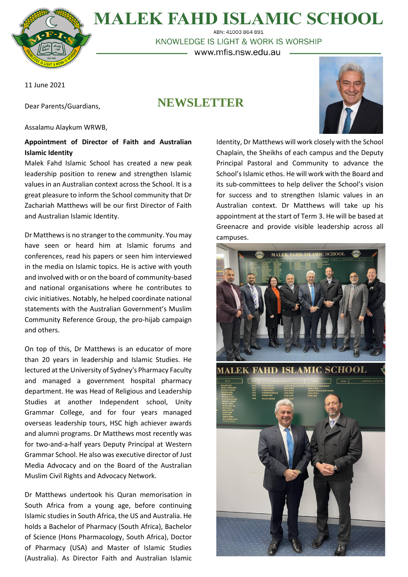

## **MALEK FAHD ISLAMIC SCHOOL** ABN: 41003 864 891

KNOWLEDGE IS LIGHT & WORK IS WORSHIP – www.mfis.nsw.edu.au –

11 June 2021

Dear Parents/Guardians,

# **NEWSLETTER**

Assalamu Alaykum WRWB,

### **Appointment of Director of Faith and Australian Islamic Identity**

Malek Fahd Islamic School has created a new peak leadership position to renew and strengthen Islamic values in an Australian context across the School. It is a great pleasure to inform the School community that Dr Zachariah Matthews will be our first Director of Faith and Australian Islamic Identity.

Dr Matthews is no stranger to the community. You may have seen or heard him at Islamic forums and conferences, read his papers or seen him interviewed in the media on Islamic topics. He is active with youth and involved with or on the board of community-based and national organisations where he contributes to civic initiatives. Notably, he helped coordinate national statements with the Australian Government's Muslim Community Reference Group, the pro-hijab campaign and others.

On top of this, Dr Matthews is an educator of more than 20 years in leadership and Islamic Studies. He lectured at the University of Sydney's Pharmacy Faculty and managed a government hospital pharmacy department. He was Head of Religious and Leadership Studies at another Independent school, Unity Grammar College, and for four years managed overseas leadership tours, HSC high achiever awards and alumni programs. Dr Matthews most recently was for two-and-a-half years Deputy Principal at Western Grammar School. He also was executive director of Just Media Advocacy and on the Board of the Australian Muslim Civil Rights and Advocacy Network.

Dr Matthews undertook his Quran memorisation in South Africa from a young age, before continuing Islamic studies in South Africa, the US and Australia. He holds a Bachelor of Pharmacy (South Africa), Bachelor of Science (Hons Pharmacology, South Africa), Doctor of Pharmacy (USA) and Master of Islamic Studies (Australia). As Director Faith and Australian Islamic



Identity, Dr Matthews will work closely with the School Chaplain, the Sheikhs of each campus and the Deputy Principal Pastoral and Community to advance the School's Islamic ethos. He will work with the Board and its sub-committees to help deliver the School's vision for success and to strengthen Islamic values in an Australian context. Dr Matthews will take up his appointment at the start of Term 3. He will be based at Greenacre and provide visible leadership across all campuses.

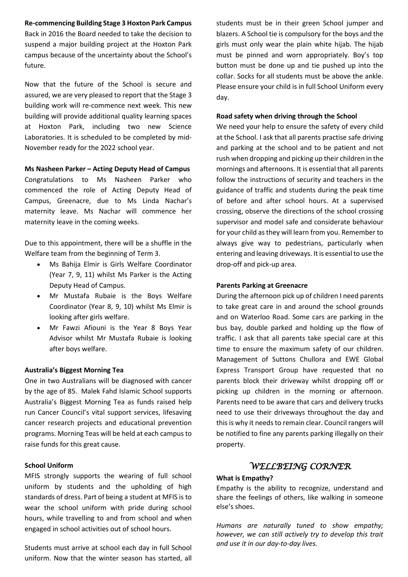**Re-commencing Building Stage 3 Hoxton Park Campus** Back in 2016 the Board needed to take the decision to suspend a major building project at the Hoxton Park campus because of the uncertainty about the School's future.

Now that the future of the School is secure and assured, we are very pleased to report that the Stage 3 building work will re-commence next week. This new building will provide additional quality learning spaces at Hoxton Park, including two new Science Laboratories. It is scheduled to be completed by mid-November ready for the 2022 school year.

**Ms Nasheen Parker – Acting Deputy Head of Campus** Congratulations to Ms Nasheen Parker who commenced the role of Acting Deputy Head of Campus, Greenacre, due to Ms Linda Nachar's maternity leave. Ms Nachar will commence her maternity leave in the coming weeks.

Due to this appointment, there will be a shuffle in the Welfare team from the beginning of Term 3.

- Ms Bahija Elmir is Girls Welfare Coordinator (Year 7, 9, 11) whilst Ms Parker is the Acting Deputy Head of Campus.
- Mr Mustafa Rubaie is the Boys Welfare Coordinator (Year 8, 9, 10) whilst Ms Elmir is looking after girls welfare.
- Mr Fawzi Afiouni is the Year 8 Boys Year Advisor whilst Mr Mustafa Rubaie is looking after boys welfare.

#### **Australia's Biggest Morning Tea**

One in two Australians will be diagnosed with cancer by the age of 85. Malek Fahd Islamic School supports Australia's Biggest Morning Tea as funds raised help run Cancer Council's vital support services, lifesaving cancer research projects and educational prevention programs. Morning Teas will be held at each campus to raise funds for this great cause.

#### **School Uniform**

MFIS strongly supports the wearing of full school uniform by students and the upholding of high standards of dress. Part of being a student at MFIS is to wear the school uniform with pride during school hours, while travelling to and from school and when engaged in school activities out of school hours.

Students must arrive at school each day in full School uniform. Now that the winter season has started, all students must be in their green School jumper and blazers. A School tie is compulsory for the boys and the girls must only wear the plain white hijab. The hijab must be pinned and worn appropriately. Boy's top button must be done up and tie pushed up into the collar. Socks for all students must be above the ankle. Please ensure your child is in full School Uniform every day.

#### **Road safety when driving through the School**

We need your help to ensure the safety of every child at the School. I ask that all parents practise safe driving and parking at the school and to be patient and not rush when dropping and picking up their children in the mornings and afternoons. It is essential that all parents follow the instructions of security and teachers in the guidance of traffic and students during the peak time of before and after school hours. At a supervised crossing, observe the directions of the school crossing supervisor and model safe and considerate behaviour for your child asthey will learn from you. Remember to always give way to pedestrians, particularly when entering and leaving driveways. It is essential to use the drop-off and pick-up area.

#### **Parents Parking at Greenacre**

During the afternoon pick up of children I need parents to take great care in and around the school grounds and on Waterloo Road. Some cars are parking in the bus bay, double parked and holding up the flow of traffic. I ask that all parents take special care at this time to ensure the maximum safety of our children. Management of Suttons Chullora and EWE Global Express Transport Group have requested that no parents block their driveway whilst dropping off or picking up children in the morning or afternoon. Parents need to be aware that cars and delivery trucks need to use their driveways throughout the day and this is why it needs to remain clear. Council rangers will be notified to fine any parents parking illegally on their property.

#### *WELLBEING CORNER*

#### **What is Empathy?**

Empathy is the ability to recognize, understand and share the feelings of others, like walking in someone else's shoes.

*Humans are naturally tuned to show empathy; however, we can still actively try to develop this trait and use it in our day-to-day lives.*